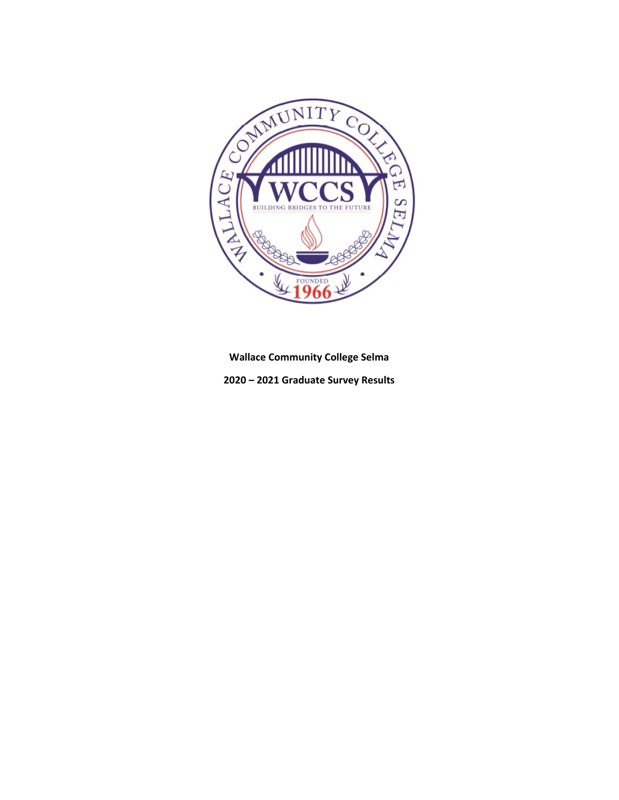

**Wallace Community College Selma**

**2020 – 2021 Graduate Survey Results**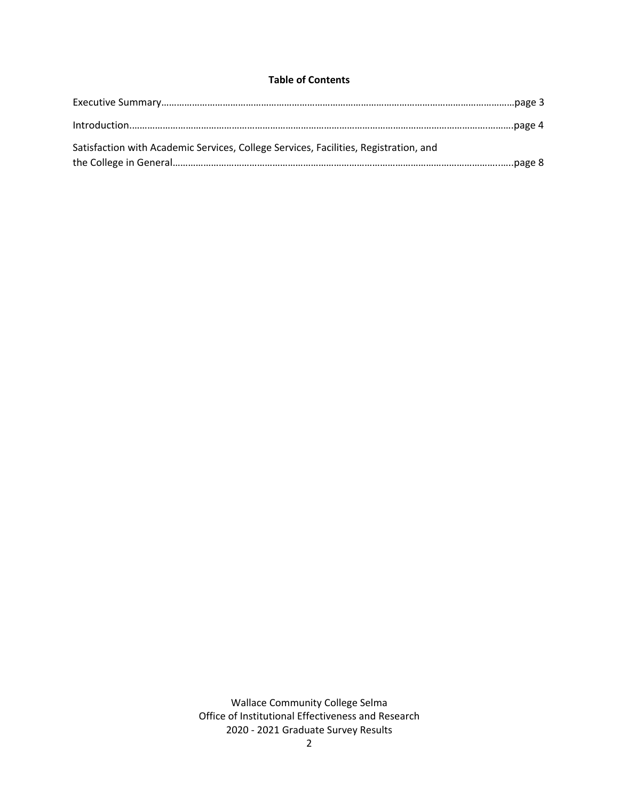# **Table of Contents**

| Satisfaction with Academic Services, College Services, Facilities, Registration, and |  |
|--------------------------------------------------------------------------------------|--|
|                                                                                      |  |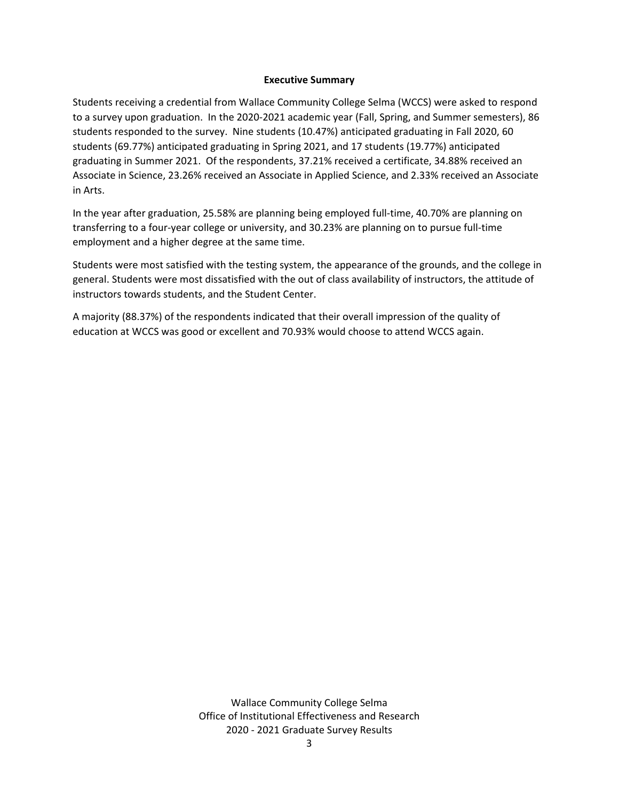#### **Executive Summary**

Students receiving a credential from Wallace Community College Selma (WCCS) were asked to respond to a survey upon graduation. In the 2020-2021 academic year (Fall, Spring, and Summer semesters), 86 students responded to the survey. Nine students (10.47%) anticipated graduating in Fall 2020, 60 students (69.77%) anticipated graduating in Spring 2021, and 17 students (19.77%) anticipated graduating in Summer 2021. Of the respondents, 37.21% received a certificate, 34.88% received an Associate in Science, 23.26% received an Associate in Applied Science, and 2.33% received an Associate in Arts.

In the year after graduation, 25.58% are planning being employed full-time, 40.70% are planning on transferring to a four-year college or university, and 30.23% are planning on to pursue full-time employment and a higher degree at the same time.

Students were most satisfied with the testing system, the appearance of the grounds, and the college in general. Students were most dissatisfied with the out of class availability of instructors, the attitude of instructors towards students, and the Student Center.

A majority (88.37%) of the respondents indicated that their overall impression of the quality of education at WCCS was good or excellent and 70.93% would choose to attend WCCS again.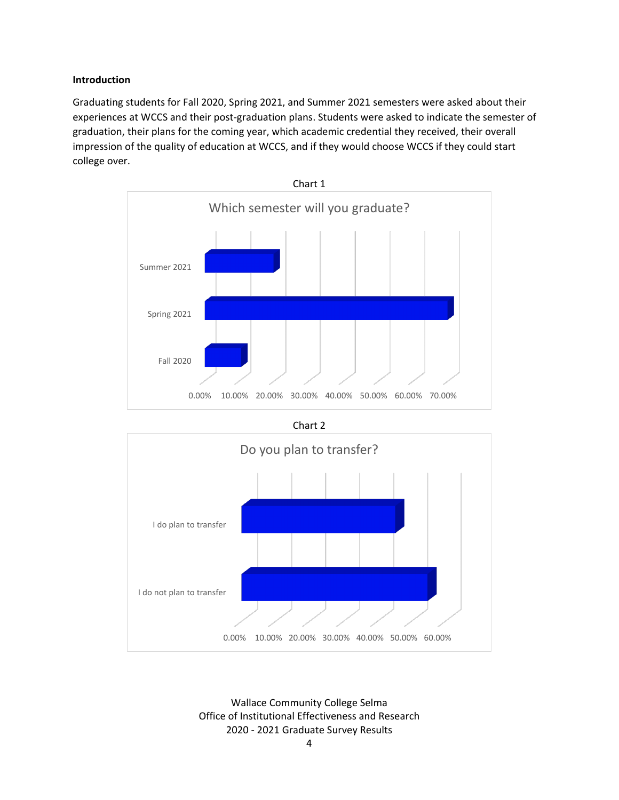### **Introduction**

Graduating students for Fall 2020, Spring 2021, and Summer 2021 semesters were asked about their experiences at WCCS and their post-graduation plans. Students were asked to indicate the semester of graduation, their plans for the coming year, which academic credential they received, their overall impression of the quality of education at WCCS, and if they would choose WCCS if they could start college over.





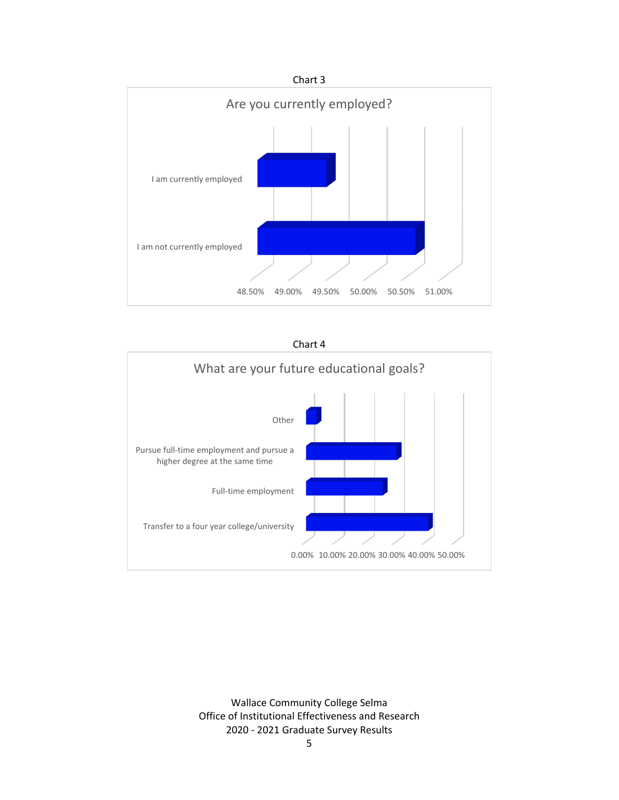



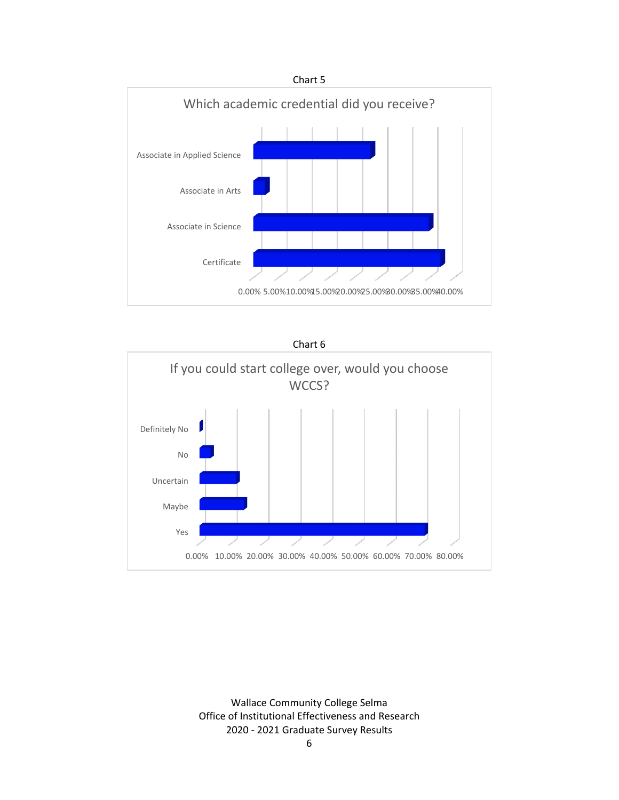

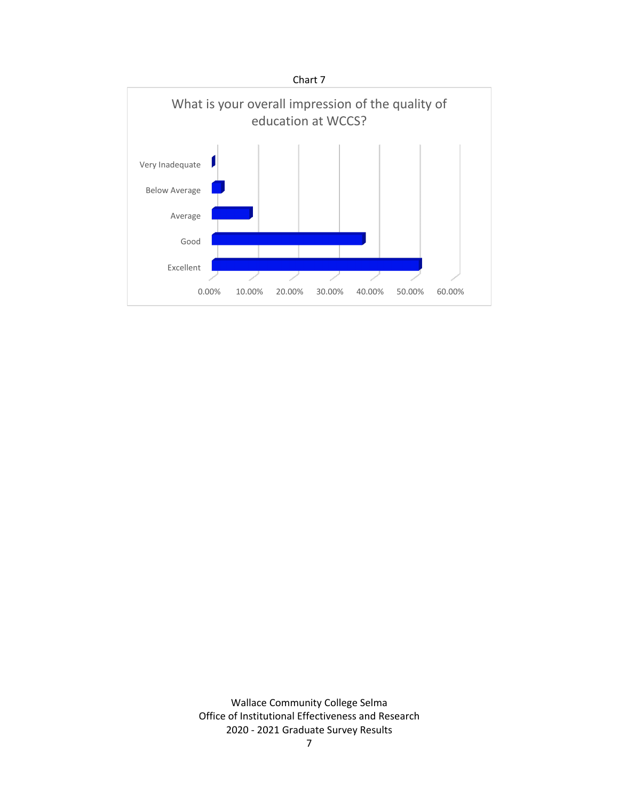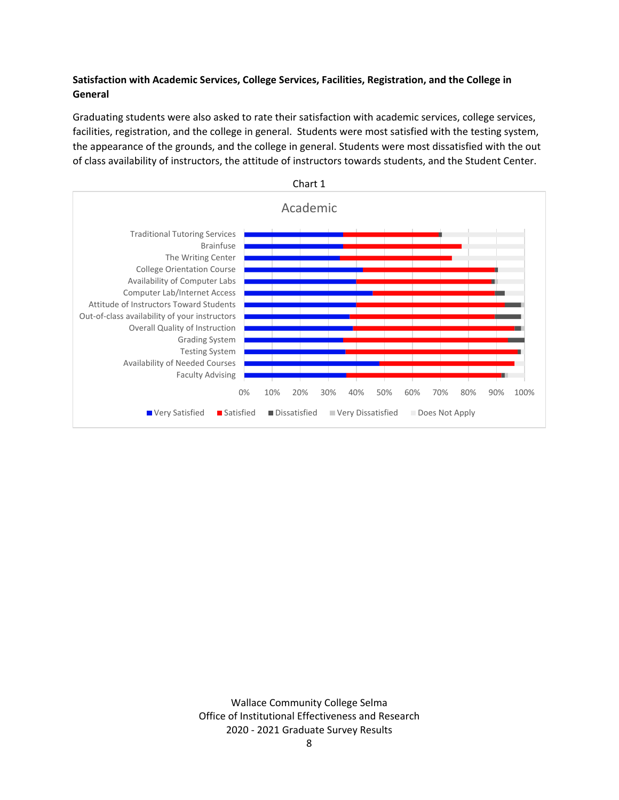# **Satisfaction with Academic Services, College Services, Facilities, Registration, and the College in General**

Graduating students were also asked to rate their satisfaction with academic services, college services, facilities, registration, and the college in general. Students were most satisfied with the testing system, the appearance of the grounds, and the college in general. Students were most dissatisfied with the out of class availability of instructors, the attitude of instructors towards students, and the Student Center.

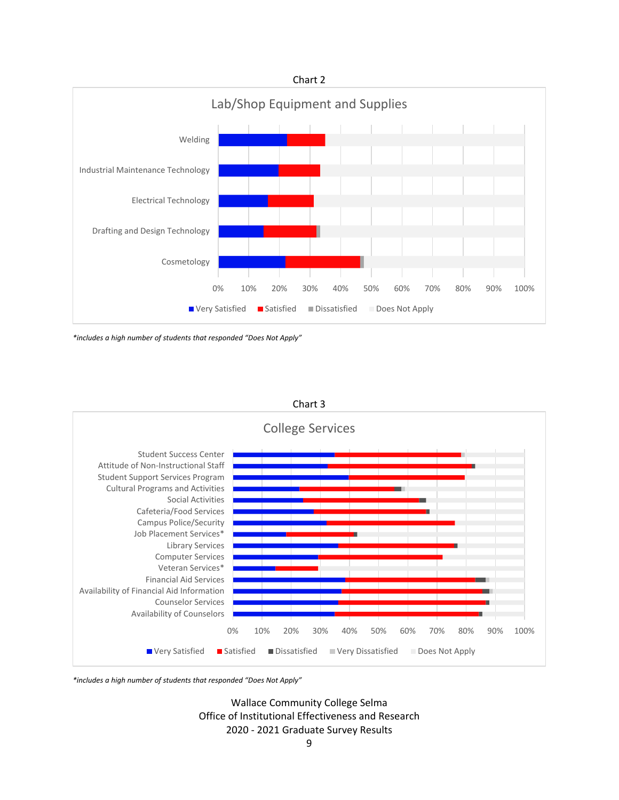

*<sup>\*</sup>includes a high number of students that responded "Does Not Apply"*



Chart 3

*\*includes a high number of students that responded "Does Not Apply"*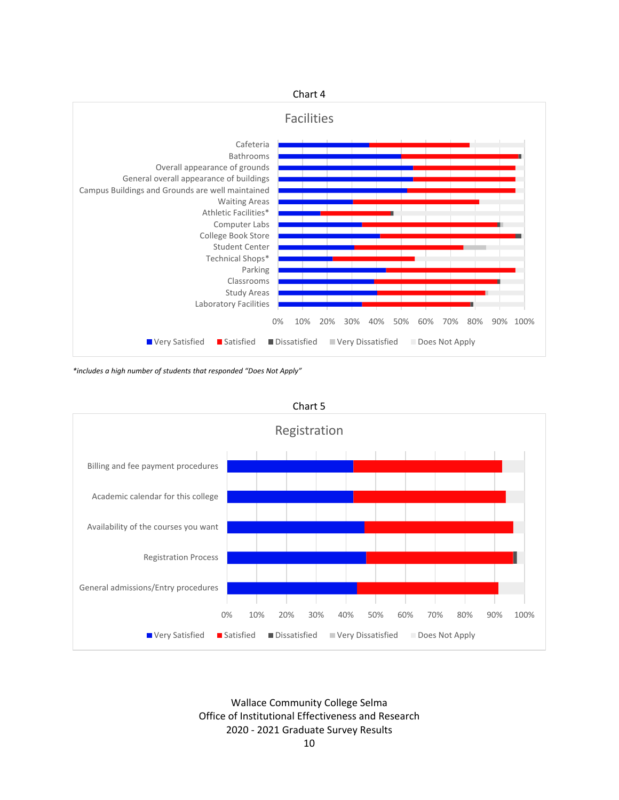

*\*includes a high number of students that responded "Does Not Apply"*



Chart 5